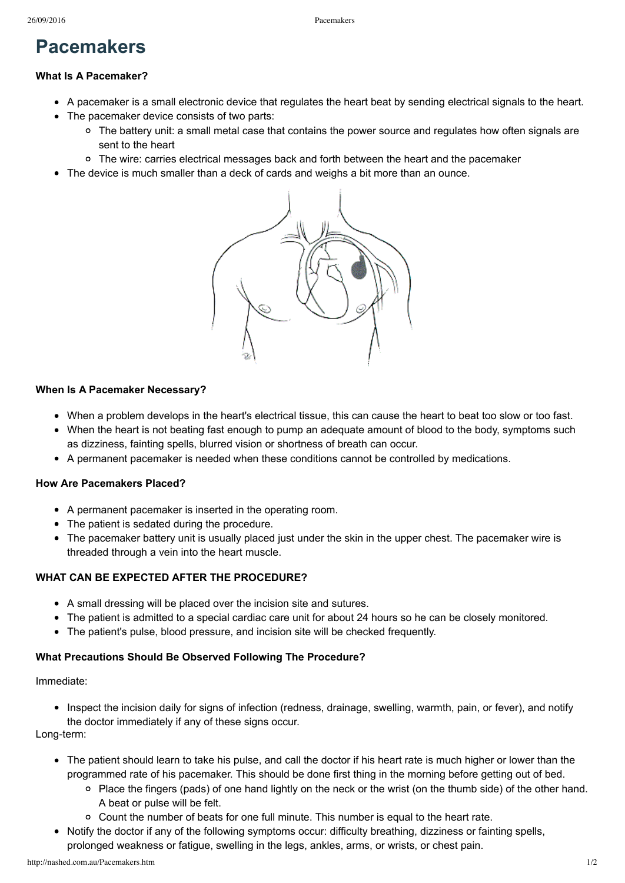# **Pacemakers**

### **What Is A Pacemaker?**

- A pacemaker is a small electronic device that regulates the heart beat by sending electrical signals to the heart.
- The pacemaker device consists of two parts:
	- The battery unit: a small metal case that contains the power source and regulates how often signals are sent to the heart
	- The wire: carries electrical messages back and forth between the heart and the pacemaker
- The device is much smaller than a deck of cards and weighs a bit more than an ounce.



#### **When Is A Pacemaker Necessary?**

- When a problem develops in the heart's electrical tissue, this can cause the heart to beat too slow or too fast.
- When the heart is not beating fast enough to pump an adequate amount of blood to the body, symptoms such as dizziness, fainting spells, blurred vision or shortness of breath can occur.
- A permanent pacemaker is needed when these conditions cannot be controlled by medications.

### **How Are Pacemakers Placed?**

- A permanent pacemaker is inserted in the operating room.
- The patient is sedated during the procedure.
- The pacemaker battery unit is usually placed just under the skin in the upper chest. The pacemaker wire is threaded through a vein into the heart muscle.

### **WHAT CAN BE EXPECTED AFTER THE PROCEDURE?**

- A small dressing will be placed over the incision site and sutures.
- The patient is admitted to a special cardiac care unit for about 24 hours so he can be closely monitored.
- The patient's pulse, blood pressure, and incision site will be checked frequently.

### **What Precautions Should Be Observed Following The Procedure?**

Immediate:

• Inspect the incision daily for signs of infection (redness, drainage, swelling, warmth, pain, or fever), and notify the doctor immediately if any of these signs occur.

Long-term:

- The patient should learn to take his pulse, and call the doctor if his heart rate is much higher or lower than the programmed rate of his pacemaker. This should be done first thing in the morning before getting out of bed.
	- Place the fingers (pads) of one hand lightly on the neck or the wrist (on the thumb side) of the other hand. A beat or pulse will be felt.
	- $\circ$  Count the number of beats for one full minute. This number is equal to the heart rate.
- Notify the doctor if any of the following symptoms occur: difficulty breathing, dizziness or fainting spells, prolonged weakness or fatigue, swelling in the legs, ankles, arms, or wrists, or chest pain.